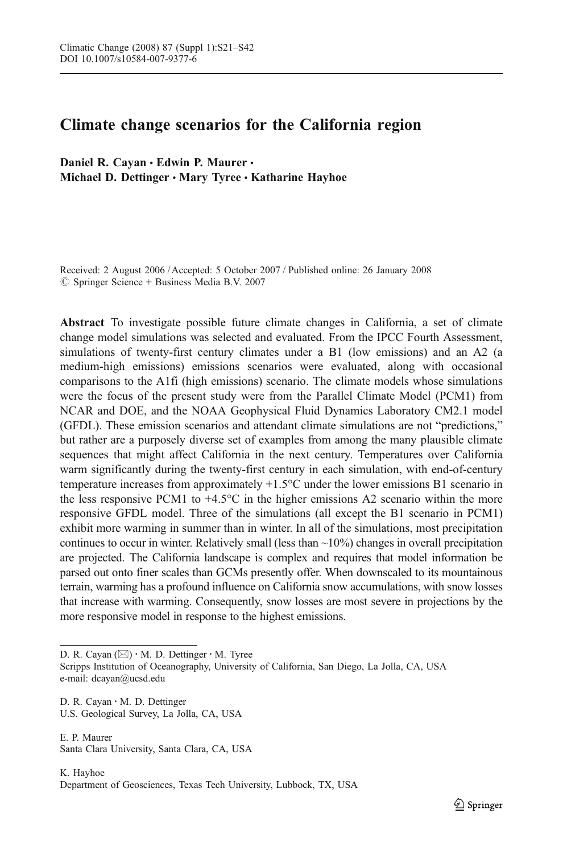# Climate change scenarios for the California region

Daniel R. Cavan · Edwin P. Maurer · Michael D. Dettinger · Mary Tyree · Katharine Hayhoe

Received: 2 August 2006 / Accepted: 5 October 2007 / Published online: 26 January 2008  $\circledcirc$  Springer Science + Business Media B.V. 2007

Abstract To investigate possible future climate changes in California, a set of climate change model simulations was selected and evaluated. From the IPCC Fourth Assessment, simulations of twenty-first century climates under a B1 (low emissions) and an A2 (a medium-high emissions) emissions scenarios were evaluated, along with occasional comparisons to the A1fi (high emissions) scenario. The climate models whose simulations were the focus of the present study were from the Parallel Climate Model (PCM1) from NCAR and DOE, and the NOAA Geophysical Fluid Dynamics Laboratory CM2.1 model (GFDL). These emission scenarios and attendant climate simulations are not "predictions," but rather are a purposely diverse set of examples from among the many plausible climate sequences that might affect California in the next century. Temperatures over California warm significantly during the twenty-first century in each simulation, with end-of-century temperature increases from approximately +1.5°C under the lower emissions B1 scenario in the less responsive PCM1 to  $+4.5^{\circ}$ C in the higher emissions A2 scenario within the more responsive GFDL model. Three of the simulations (all except the B1 scenario in PCM1) exhibit more warming in summer than in winter. In all of the simulations, most precipitation continues to occur in winter. Relatively small (less than  $\sim$ 10%) changes in overall precipitation are projected. The California landscape is complex and requires that model information be parsed out onto finer scales than GCMs presently offer. When downscaled to its mountainous terrain, warming has a profound influence on California snow accumulations, with snow losses that increase with warming. Consequently, snow losses are most severe in projections by the more responsive model in response to the highest emissions.

D. R. Cayan  $(\boxtimes) \cdot M$ . D. Dettinger  $\cdot M$ . Tyree

Scripps Institution of Oceanography, University of California, San Diego, La Jolla, CA, USA e-mail: dcayan@ucsd.edu

D. R. Cayan : M. D. Dettinger U.S. Geological Survey, La Jolla, CA, USA

E. P. Maurer Santa Clara University, Santa Clara, CA, USA

K. Hayhoe Department of Geosciences, Texas Tech University, Lubbock, TX, USA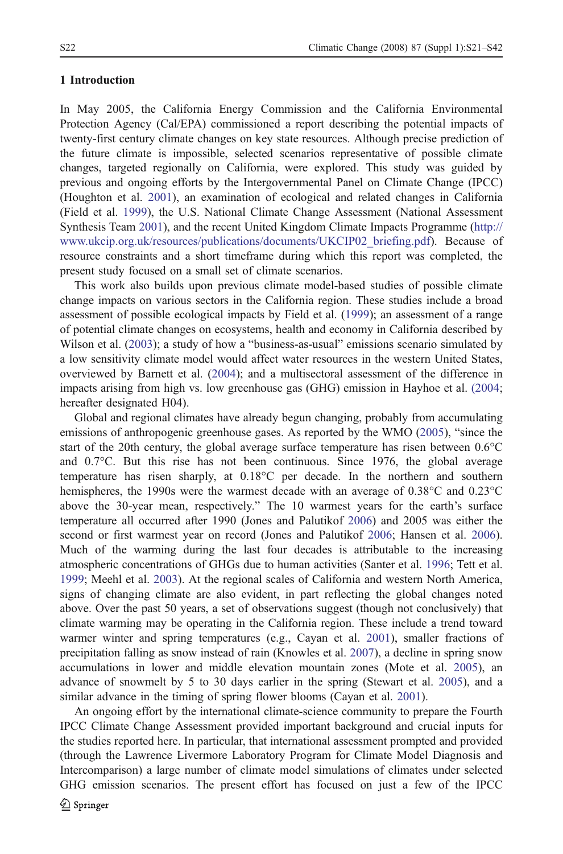#### 1 Introduction

In May 2005, the California Energy Commission and the California Environmental Protection Agency (Cal/EPA) commissioned a report describing the potential impacts of twenty-first century climate changes on key state resources. Although precise prediction of the future climate is impossible, selected scenarios representative of possible climate changes, targeted regionally on California, were explored. This study was guided by previous and ongoing efforts by the Intergovernmental Panel on Climate Change (IPCC) (Houghton et al. [2001\)](#page-20-0), an examination of ecological and related changes in California (Field et al. [1999\)](#page-20-0), the U.S. National Climate Change Assessment (National Assessment Synthesis Team [2001](#page-21-0)), and the recent United Kingdom Climate Impacts Programme [\(http://](http://www.ukcip.org.uk/resources/publications/documents/UKCIP02_briefing.pdf) [www.ukcip.org.uk/resources/publications/documents/UKCIP02\\_briefing.pdf](http://www.ukcip.org.uk/resources/publications/documents/UKCIP02_briefing.pdf)). Because of resource constraints and a short timeframe during which this report was completed, the present study focused on a small set of climate scenarios.

This work also builds upon previous climate model-based studies of possible climate change impacts on various sectors in the California region. These studies include a broad assessment of possible ecological impacts by Field et al. ([1999](#page-20-0)); an assessment of a range of potential climate changes on ecosystems, health and economy in California described by Wilson et al. ([2003](#page-21-0)); a study of how a "business-as-usual" emissions scenario simulated by a low sensitivity climate model would affect water resources in the western United States, overviewed by Barnett et al. [\(2004](#page-20-0)); and a multisectoral assessment of the difference in impacts arising from high vs. low greenhouse gas (GHG) emission in Hayhoe et al. [\(2004](#page-20-0); hereafter designated H04).

Global and regional climates have already begun changing, probably from accumulating emissions of anthropogenic greenhouse gases. As reported by the WMO ([2005\)](#page-21-0), "since the start of the 20th century, the global average surface temperature has risen between 0.6°C and 0.7°C. But this rise has not been continuous. Since 1976, the global average temperature has risen sharply, at 0.18°C per decade. In the northern and southern hemispheres, the 1990s were the warmest decade with an average of 0.38°C and 0.23°C above the 30-year mean, respectively." The 10 warmest years for the earth's surface temperature all occurred after 1990 (Jones and Palutikof [2006\)](#page-20-0) and 2005 was either the second or first warmest year on record (Jones and Palutikof [2006](#page-20-0); Hansen et al. [2006](#page-20-0)). Much of the warming during the last four decades is attributable to the increasing atmospheric concentrations of GHGs due to human activities (Santer et al. [1996](#page-21-0); Tett et al. [1999;](#page-21-0) Meehl et al. [2003\)](#page-21-0). At the regional scales of California and western North America, signs of changing climate are also evident, in part reflecting the global changes noted above. Over the past 50 years, a set of observations suggest (though not conclusively) that climate warming may be operating in the California region. These include a trend toward warmer winter and spring temperatures (e.g., Cayan et al. [2001](#page-20-0)), smaller fractions of precipitation falling as snow instead of rain (Knowles et al. [2007](#page-20-0)), a decline in spring snow accumulations in lower and middle elevation mountain zones (Mote et al. [2005](#page-21-0)), an advance of snowmelt by 5 to 30 days earlier in the spring (Stewart et al. [2005\)](#page-21-0), and a similar advance in the timing of spring flower blooms (Cayan et al. [2001](#page-20-0)).

An ongoing effort by the international climate-science community to prepare the Fourth IPCC Climate Change Assessment provided important background and crucial inputs for the studies reported here. In particular, that international assessment prompted and provided (through the Lawrence Livermore Laboratory Program for Climate Model Diagnosis and Intercomparison) a large number of climate model simulations of climates under selected GHG emission scenarios. The present effort has focused on just a few of the IPCC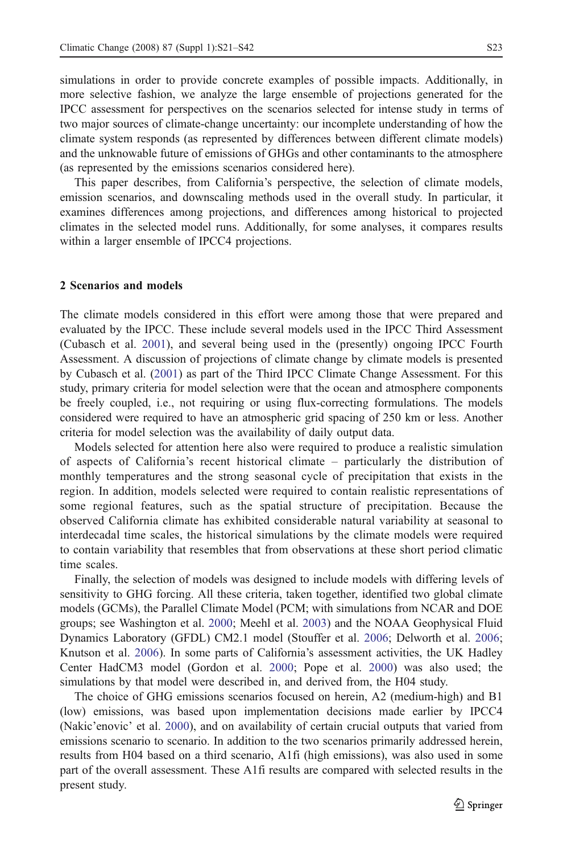simulations in order to provide concrete examples of possible impacts. Additionally, in more selective fashion, we analyze the large ensemble of projections generated for the IPCC assessment for perspectives on the scenarios selected for intense study in terms of two major sources of climate-change uncertainty: our incomplete understanding of how the climate system responds (as represented by differences between different climate models) and the unknowable future of emissions of GHGs and other contaminants to the atmosphere (as represented by the emissions scenarios considered here).

This paper describes, from California's perspective, the selection of climate models, emission scenarios, and downscaling methods used in the overall study. In particular, it examines differences among projections, and differences among historical to projected climates in the selected model runs. Additionally, for some analyses, it compares results within a larger ensemble of IPCC4 projections.

### 2 Scenarios and models

The climate models considered in this effort were among those that were prepared and evaluated by the IPCC. These include several models used in the IPCC Third Assessment (Cubasch et al. [2001\)](#page-20-0), and several being used in the (presently) ongoing IPCC Fourth Assessment. A discussion of projections of climate change by climate models is presented by Cubasch et al. [\(2001](#page-20-0)) as part of the Third IPCC Climate Change Assessment. For this study, primary criteria for model selection were that the ocean and atmosphere components be freely coupled, i.e., not requiring or using flux-correcting formulations. The models considered were required to have an atmospheric grid spacing of 250 km or less. Another criteria for model selection was the availability of daily output data.

Models selected for attention here also were required to produce a realistic simulation of aspects of California's recent historical climate – particularly the distribution of monthly temperatures and the strong seasonal cycle of precipitation that exists in the region. In addition, models selected were required to contain realistic representations of some regional features, such as the spatial structure of precipitation. Because the observed California climate has exhibited considerable natural variability at seasonal to interdecadal time scales, the historical simulations by the climate models were required to contain variability that resembles that from observations at these short period climatic time scales.

Finally, the selection of models was designed to include models with differing levels of sensitivity to GHG forcing. All these criteria, taken together, identified two global climate models (GCMs), the Parallel Climate Model (PCM; with simulations from NCAR and DOE groups; see Washington et al. [2000;](#page-21-0) Meehl et al. [2003](#page-21-0)) and the NOAA Geophysical Fluid Dynamics Laboratory (GFDL) CM2.1 model (Stouffer et al. [2006](#page-21-0); Delworth et al. [2006](#page-20-0); Knutson et al. [2006](#page-20-0)). In some parts of California's assessment activities, the UK Hadley Center HadCM3 model (Gordon et al. [2000](#page-20-0); Pope et al. [2000\)](#page-21-0) was also used; the simulations by that model were described in, and derived from, the H04 study.

The choice of GHG emissions scenarios focused on herein, A2 (medium-high) and B1 (low) emissions, was based upon implementation decisions made earlier by IPCC4 (Nakic'enovic' et al. [2000\)](#page-21-0), and on availability of certain crucial outputs that varied from emissions scenario to scenario. In addition to the two scenarios primarily addressed herein, results from H04 based on a third scenario, A1fi (high emissions), was also used in some part of the overall assessment. These A1fi results are compared with selected results in the present study.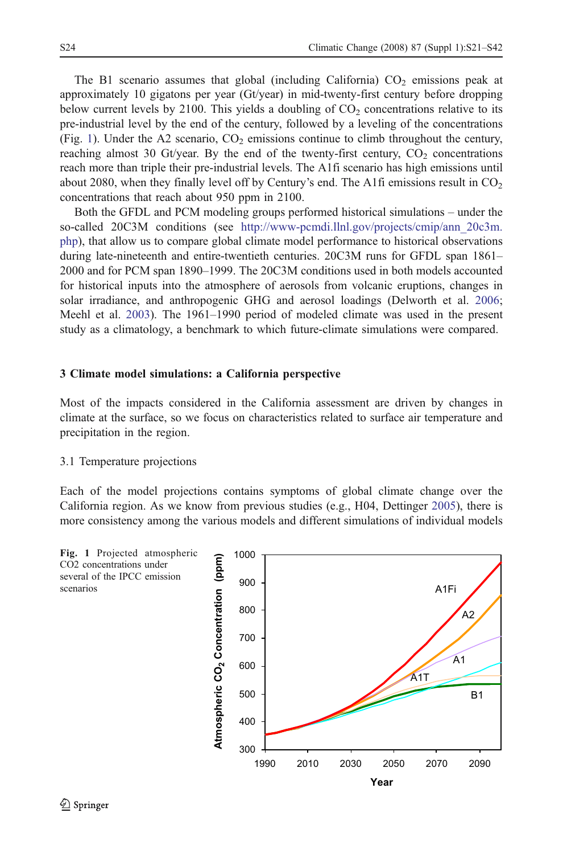The B1 scenario assumes that global (including California)  $CO<sub>2</sub>$  emissions peak at approximately 10 gigatons per year (Gt/year) in mid-twenty-first century before dropping below current levels by 2100. This yields a doubling of  $CO<sub>2</sub>$  concentrations relative to its pre-industrial level by the end of the century, followed by a leveling of the concentrations (Fig. 1). Under the A2 scenario,  $CO<sub>2</sub>$  emissions continue to climb throughout the century, reaching almost 30 Gt/year. By the end of the twenty-first century,  $CO<sub>2</sub>$  concentrations reach more than triple their pre-industrial levels. The A1fi scenario has high emissions until about 2080, when they finally level off by Century's end. The A1fi emissions result in  $CO<sub>2</sub>$ concentrations that reach about 950 ppm in 2100.

Both the GFDL and PCM modeling groups performed historical simulations – under the so-called 20C3M conditions (see http://www-pcmdi.llnl.gov/projects/cmip/ann 20c3m. [php\)](http://www-pcmdi.llnl.gov/projects/cmip/ann_20c3m.php), that allow us to compare global climate model performance to historical observations during late-nineteenth and entire-twentieth centuries. 20C3M runs for GFDL span 1861– 2000 and for PCM span 1890–1999. The 20C3M conditions used in both models accounted for historical inputs into the atmosphere of aerosols from volcanic eruptions, changes in solar irradiance, and anthropogenic GHG and aerosol loadings (Delworth et al. [2006](#page-20-0); Meehl et al. [2003](#page-21-0)). The 1961–1990 period of modeled climate was used in the present study as a climatology, a benchmark to which future-climate simulations were compared.

#### 3 Climate model simulations: a California perspective

Most of the impacts considered in the California assessment are driven by changes in climate at the surface, so we focus on characteristics related to surface air temperature and precipitation in the region.

## 3.1 Temperature projections

Each of the model projections contains symptoms of global climate change over the California region. As we know from previous studies (e.g., H04, Dettinger [2005](#page-20-0)), there is more consistency among the various models and different simulations of individual models

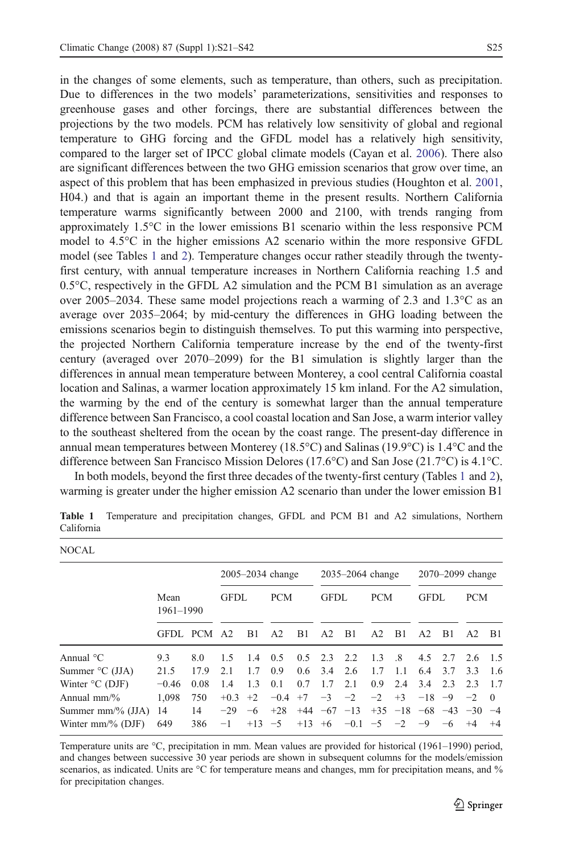<span id="page-4-0"></span>in the changes of some elements, such as temperature, than others, such as precipitation. Due to differences in the two models' parameterizations, sensitivities and responses to greenhouse gases and other forcings, there are substantial differences between the projections by the two models. PCM has relatively low sensitivity of global and regional temperature to GHG forcing and the GFDL model has a relatively high sensitivity, compared to the larger set of IPCC global climate models (Cayan et al. [2006\)](#page-20-0). There also are significant differences between the two GHG emission scenarios that grow over time, an aspect of this problem that has been emphasized in previous studies (Houghton et al. [2001](#page-20-0), H04.) and that is again an important theme in the present results. Northern California temperature warms significantly between 2000 and 2100, with trends ranging from approximately 1.5°C in the lower emissions B1 scenario within the less responsive PCM model to 4.5°C in the higher emissions A2 scenario within the more responsive GFDL model (see Tables 1 and [2\)](#page-5-0). Temperature changes occur rather steadily through the twentyfirst century, with annual temperature increases in Northern California reaching 1.5 and  $0.5^{\circ}$ C, respectively in the GFDL A2 simulation and the PCM B1 simulation as an average over 2005–2034. These same model projections reach a warming of 2.3 and 1.3°C as an average over 2035–2064; by mid-century the differences in GHG loading between the emissions scenarios begin to distinguish themselves. To put this warming into perspective, the projected Northern California temperature increase by the end of the twenty-first century (averaged over 2070–2099) for the B1 simulation is slightly larger than the differences in annual mean temperature between Monterey, a cool central California coastal location and Salinas, a warmer location approximately 15 km inland. For the A2 simulation, the warming by the end of the century is somewhat larger than the annual temperature difference between San Francisco, a cool coastal location and San Jose, a warm interior valley to the southeast sheltered from the ocean by the coast range. The present-day difference in annual mean temperatures between Monterey (18.5°C) and Salinas (19.9°C) is 1.4°C and the difference between San Francisco Mission Delores (17.6°C) and San Jose (21.7°C) is 4.1°C.

In both models, beyond the first three decades of the twenty-first century (Tables 1 and [2](#page-5-0)), warming is greater under the higher emission A2 scenario than under the lower emission B1

| NOCAL                         |                   |      |                      |          |                |                 |                      |           |      |                               |                  |             |                |            |
|-------------------------------|-------------------|------|----------------------|----------|----------------|-----------------|----------------------|-----------|------|-------------------------------|------------------|-------------|----------------|------------|
|                               |                   |      | $2005 - 2034$ change |          |                |                 | $2035 - 2064$ change |           |      |                               | 2070–2099 change |             |                |            |
|                               | Mean<br>1961-1990 |      | <b>GFDL</b>          |          | <b>PCM</b>     | <b>GFDL</b>     |                      |           |      | <b>PCM</b>                    |                  | <b>GFDL</b> |                | <b>PCM</b> |
|                               | GFDL PCM A2       |      |                      | B1       | A <sub>2</sub> | B1              | A2                   | B1        | A2   | B1                            | A <sub>2</sub>   | B1          | A <sub>2</sub> | B1         |
| Annual $^{\circ}$ C           | 9.3               | 8.0  | 1.5                  | 14       | 0.5            |                 | $0.5$ 2.3 2.2        |           | 13   | .8                            | 4.5              | 2.7         | 2.6            | 1.5        |
| Summer $\rm{^{\circ}C}$ (JJA) | 21.5              | 17.9 | 2.1                  | 1.7      | 0.9            | $0.6 \quad 3.4$ |                      | 2.6       | 1.7  | 11                            | 6.4              | 3.7         | 3.3            | 1.6        |
| Winter $\rm{^{\circ}C}$ (DJF) | $-0.46$           | 0.08 | 1.4                  | 1.3      | 0.1            | 0.7             | 17                   | 2.1       | 0.9  | 2.4                           | 3.4              | 23          | 23             | 1.7        |
| Annual $mm\%$                 | 1.098             | 750  | $+0.3$ $+2$          |          | $-0.4$ +7      |                 | $-3$                 | $-2$      | $-2$ | $+3$                          | $-18 - 9$        |             | $-2$           | $\Omega$   |
| Summer mm/% (JJA)             | 14                | 14   | $-29$                | $-6$     | $+28$          |                 | $+44$ $-67$ $-13$    |           |      | $+35$ $-18$ $-68$ $-43$ $-30$ |                  |             |                | $-4$       |
| Winter $mm\%$ (DJF)           | 649               | 386  | $-1$                 | $+13 -5$ |                | $+13 +6$        |                      | $-0.1 -5$ |      | $-2$                          | $-9$             | -6          | $+4$           | $+4$       |

Table 1 Temperature and precipitation changes, GFDL and PCM B1 and A2 simulations, Northern California

Temperature units are °C, precipitation in mm. Mean values are provided for historical (1961–1990) period, and changes between successive 30 year periods are shown in subsequent columns for the models/emission scenarios, as indicated. Units are °C for temperature means and changes, mm for precipitation means, and % for precipitation changes.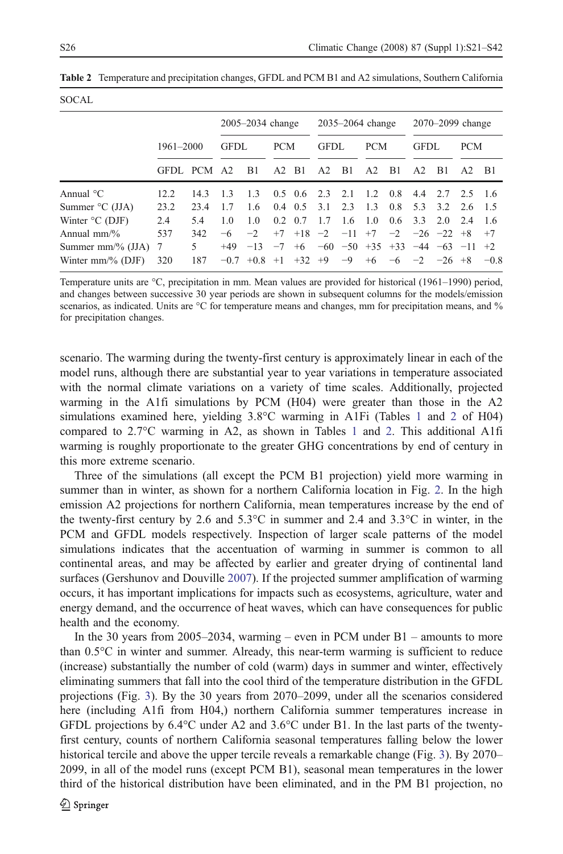$SOCAT$ 

| ----                          |           |      |                      |                       |                 |                      |                |      |                  |               |                |                                                  |                |        |
|-------------------------------|-----------|------|----------------------|-----------------------|-----------------|----------------------|----------------|------|------------------|---------------|----------------|--------------------------------------------------|----------------|--------|
|                               |           |      | $2005 - 2034$ change |                       |                 | $2035 - 2064$ change |                |      | 2070–2099 change |               |                |                                                  |                |        |
|                               | 1961-2000 |      | <b>GFDL</b>          |                       | <b>PCM</b>      |                      | <b>GFDL</b>    |      | <b>PCM</b>       |               | <b>GFDL</b>    |                                                  | <b>PCM</b>     |        |
|                               | GFDL PCM  |      | A2                   | B1                    | $A2$ B1         |                      | A <sub>2</sub> | B1   | A2               | B1            | A <sub>2</sub> | B1                                               | A <sub>2</sub> | - B1   |
| Annual $^{\circ}$ C           | 12.2      | 14.3 | 13                   | 13                    |                 | $0.5 \t0.6 \t2.3$    |                | 2.1  | 12               | 0.8           | 4.4            | 2.7 2.5                                          |                | - 16   |
| Summer $\rm{^{\circ}C}$ (JJA) | 23.2      | 23.4 | 17                   | 1.6                   |                 | $0.4 \quad 0.5$      | 3.1            | 23   | 13               | 0.8           | 5.3            | 3.2                                              | 2.6            | - 15   |
| Winter $\rm{^{\circ}C}$ (DJF) | 2.4       | 5.4  | 1.0                  | 1.0                   | $0.2 \quad 0.7$ |                      | 17             | 16   | 1 O              | $0.6^{\circ}$ | 3.3            | 2.0                                              | 2.4            | -1.6   |
| Annual $mm\%$                 | 537       | 342  | -6                   | $-2$                  | $+7$            |                      | $+18$ $-2$     |      | $-11$ +7         |               |                | $-2$ $-26$ $-22$ $+8$                            |                | $+7$   |
| Summer mm/% $(JJA)$ 7         |           | 5    | $+49$                | $-13$                 |                 |                      |                |      |                  |               |                | $-7$ +6 $-60$ $-50$ +35 +33 $-44$ $-63$ $-11$ +2 |                |        |
| Winter $mm\%$ (DJF)           | 320       | 187  |                      | $-0.7$ +0.8 +1 +32 +9 |                 |                      |                | $-9$ | $+6$             |               |                | $-6$ $-2$ $-26$ $+8$                             |                | $-0.8$ |
|                               |           |      |                      |                       |                 |                      |                |      |                  |               |                |                                                  |                |        |

<span id="page-5-0"></span>Table 2 Temperature and precipitation changes, GFDL and PCM B1 and A2 simulations, Southern California

Temperature units are °C, precipitation in mm. Mean values are provided for historical (1961–1990) period, and changes between successive 30 year periods are shown in subsequent columns for the models/emission scenarios, as indicated. Units are °C for temperature means and changes, mm for precipitation means, and % for precipitation changes.

scenario. The warming during the twenty-first century is approximately linear in each of the model runs, although there are substantial year to year variations in temperature associated with the normal climate variations on a variety of time scales. Additionally, projected warming in the A1fi simulations by PCM (H04) were greater than those in the A2 simulations examined here, yielding 3.8°C warming in A1Fi (Tables [1](#page-4-0) and 2 of H04) compared to  $2.7^{\circ}$ C warming in A2, as shown in Tables [1](#page-4-0) and 2. This additional A1fi warming is roughly proportionate to the greater GHG concentrations by end of century in this more extreme scenario.

Three of the simulations (all except the PCM B1 projection) yield more warming in summer than in winter, as shown for a northern California location in Fig. [2](#page-6-0). In the high emission A2 projections for northern California, mean temperatures increase by the end of the twenty-first century by 2.6 and  $5.3^{\circ}$ C in summer and  $2.4$  and  $3.3^{\circ}$ C in winter, in the PCM and GFDL models respectively. Inspection of larger scale patterns of the model simulations indicates that the accentuation of warming in summer is common to all continental areas, and may be affected by earlier and greater drying of continental land surfaces (Gershunov and Douville [2007\)](#page-20-0). If the projected summer amplification of warming occurs, it has important implications for impacts such as ecosystems, agriculture, water and energy demand, and the occurrence of heat waves, which can have consequences for public health and the economy.

In the 30 years from  $2005-2034$ , warming – even in PCM under B1 – amounts to more than 0.5°C in winter and summer. Already, this near-term warming is sufficient to reduce (increase) substantially the number of cold (warm) days in summer and winter, effectively eliminating summers that fall into the cool third of the temperature distribution in the GFDL projections (Fig. [3\)](#page-6-0). By the 30 years from 2070–2099, under all the scenarios considered here (including A1fi from H04,) northern California summer temperatures increase in GFDL projections by 6.4°C under A2 and 3.6°C under B1. In the last parts of the twentyfirst century, counts of northern California seasonal temperatures falling below the lower historical tercile and above the upper tercile reveals a remarkable change (Fig. [3\)](#page-6-0). By 2070– 2099, in all of the model runs (except PCM B1), seasonal mean temperatures in the lower third of the historical distribution have been eliminated, and in the PM B1 projection, no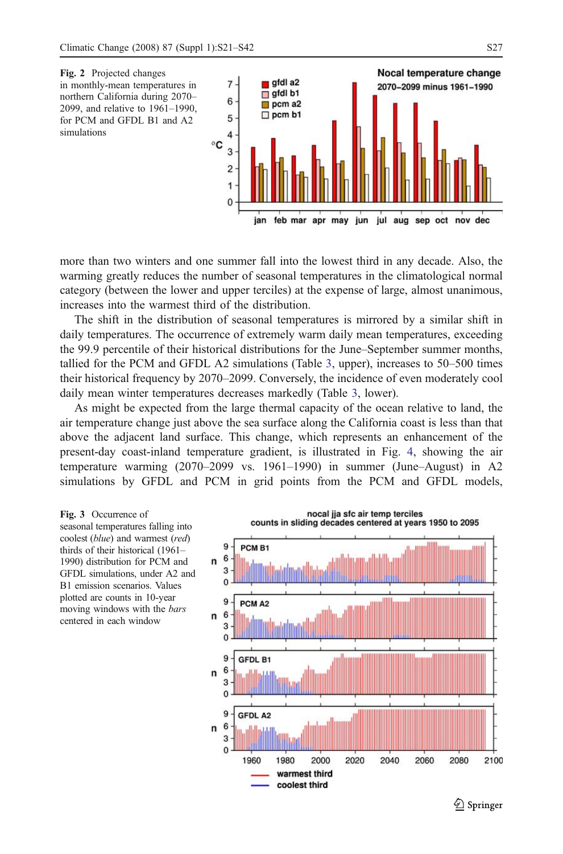<span id="page-6-0"></span>

more than two winters and one summer fall into the lowest third in any decade. Also, the warming greatly reduces the number of seasonal temperatures in the climatological normal category (between the lower and upper terciles) at the expense of large, almost unanimous, increases into the warmest third of the distribution.

The shift in the distribution of seasonal temperatures is mirrored by a similar shift in daily temperatures. The occurrence of extremely warm daily mean temperatures, exceeding the 99.9 percentile of their historical distributions for the June–September summer months, tallied for the PCM and GFDL A2 simulations (Table [3](#page-7-0), upper), increases to 50–500 times their historical frequency by 2070–2099. Conversely, the incidence of even moderately cool daily mean winter temperatures decreases markedly (Table [3](#page-7-0), lower).

As might be expected from the large thermal capacity of the ocean relative to land, the air temperature change just above the sea surface along the California coast is less than that above the adjacent land surface. This change, which represents an enhancement of the present-day coast-inland temperature gradient, is illustrated in Fig. [4,](#page-7-0) showing the air temperature warming (2070–2099 vs. 1961–1990) in summer (June–August) in A2 simulations by GFDL and PCM in grid points from the PCM and GFDL models,

Fig. 3 Occurrence of seasonal temperatures falling into coolest (blue) and warmest (red) thirds of their historical (1961– 1990) distribution for PCM and GFDL simulations, under A2 and B1 emission scenarios. Values plotted are counts in 10-year moving windows with the bars centered in each window



 $\mathcal{Q}$  Springer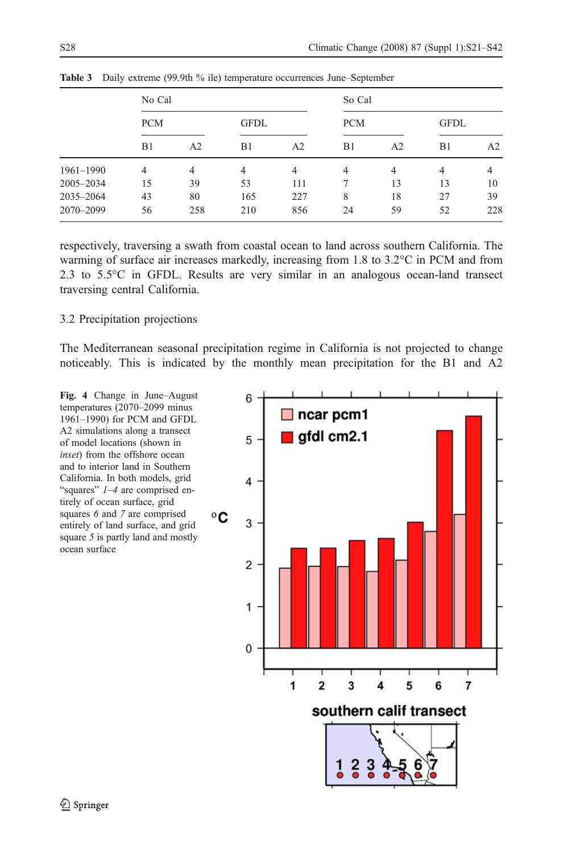|               | No Cal     |                |                | So Cal |            |    |                |     |  |  |
|---------------|------------|----------------|----------------|--------|------------|----|----------------|-----|--|--|
|               | <b>PCM</b> |                | <b>GFDL</b>    |        | <b>PCM</b> |    | <b>GFDL</b>    |     |  |  |
|               | B1         | A <sub>2</sub> | B1             | A2     | B1         | A2 | B1             | A2  |  |  |
| $1961 - 1990$ | 4          | 4              | $\overline{4}$ | 4      | 4          | 4  | $\overline{4}$ | 4   |  |  |
| 2005-2034     | 15         | 39             | 53             | 111    | 7          | 13 | 13             | 10  |  |  |
| 2035-2064     | 43         | 80             | 165            | 227    | 8          | 18 | 27             | 39  |  |  |
| 2070-2099     | 56         | 258            | 210            | 856    | 24         | 59 | 52             | 228 |  |  |

<span id="page-7-0"></span>Table 3 Daily extreme (99.9th % ile) temperature occurrences June–September

respectively, traversing a swath from coastal ocean to land across southern California. The warming of surface air increases markedly, increasing from 1.8 to 3.2°C in PCM and from 2.3 to 5.5°C in GFDL. Results are very similar in an analogous ocean-land transect traversing central California.

#### 3.2 Precipitation projections

The Mediterranean seasonal precipitation regime in California is not projected to change noticeably. This is indicated by the monthly mean precipitation for the B1 and A2

Fig. 4 Change in June–August temperatures (2070–2099 minus 1961–1990) for PCM and GFDL A2 simulations along a transect of model locations (shown in inset) from the offshore ocean and to interior land in Southern California. In both models, grid "squares" 1–4 are comprised entirely of ocean surface, grid squares 6 and 7 are comprised entirely of land surface, and grid square 5 is partly land and mostly ocean surface

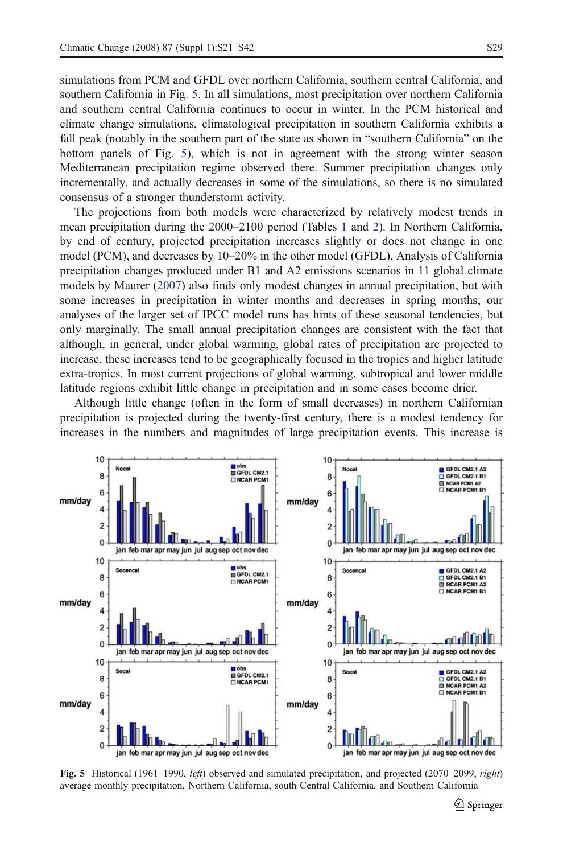simulations from PCM and GFDL over northern California, southern central California, and southern California in Fig. 5. In all simulations, most precipitation over northern California and southern central California continues to occur in winter. In the PCM historical and climate change simulations, climatological precipitation in southern California exhibits a fall peak (notably in the southern part of the state as shown in "southern California" on the bottom panels of Fig. 5), which is not in agreement with the strong winter season Mediterranean precipitation regime observed there. Summer precipitation changes only incrementally, and actually decreases in some of the simulations, so there is no simulated consensus of a stronger thunderstorm activity.

The projections from both models were characterized by relatively modest trends in mean precipitation during the 2000–2100 period (Tables [1](#page-4-0) and [2\)](#page-5-0). In Northern California, by end of century, projected precipitation increases slightly or does not change in one model (PCM), and decreases by 10–20% in the other model (GFDL). Analysis of California precipitation changes produced under B1 and A2 emissions scenarios in 11 global climate models by Maurer ([2007\)](#page-21-0) also finds only modest changes in annual precipitation, but with some increases in precipitation in winter months and decreases in spring months; our analyses of the larger set of IPCC model runs has hints of these seasonal tendencies, but only marginally. The small annual precipitation changes are consistent with the fact that although, in general, under global warming, global rates of precipitation are projected to increase, these increases tend to be geographically focused in the tropics and higher latitude extra-tropics. In most current projections of global warming, subtropical and lower middle latitude regions exhibit little change in precipitation and in some cases become drier.

Although little change (often in the form of small decreases) in northern Californian precipitation is projected during the twenty-first century, there is a modest tendency for increases in the numbers and magnitudes of large precipitation events. This increase is



Fig. 5 Historical (1961–1990, *left*) observed and simulated precipitation, and projected (2070–2099, *right*) average monthly precipitation, Northern California, south Central California, and Southern California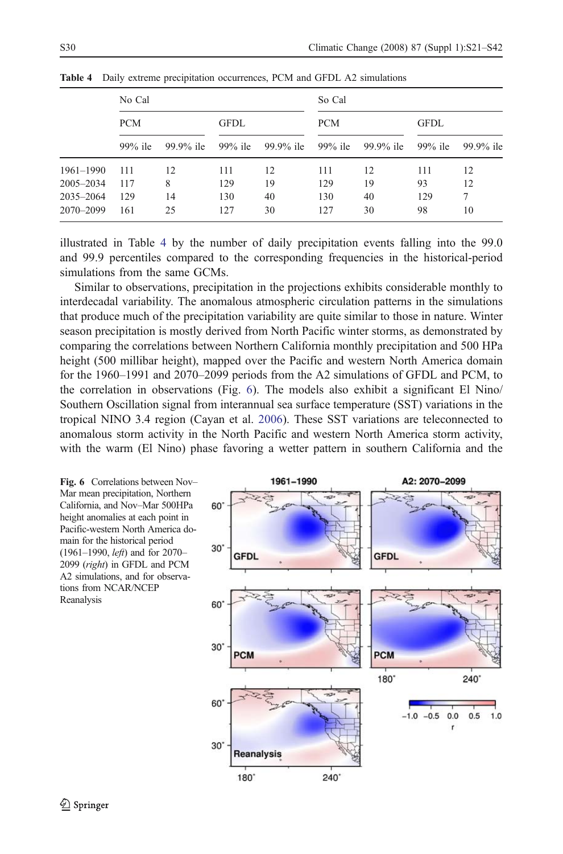|               | No Cal     |           |             |           | So Cal     |           |             |           |  |  |  |  |
|---------------|------------|-----------|-------------|-----------|------------|-----------|-------------|-----------|--|--|--|--|
|               | <b>PCM</b> |           | <b>GFDL</b> |           | <b>PCM</b> |           | <b>GFDL</b> |           |  |  |  |  |
|               | $99\%$ ile | 99.9% ile | $99\%$ ile  | 99.9% ile | $99\%$ ile | 99.9% ile | $99\%$ ile  | 99.9% ile |  |  |  |  |
| $1961 - 1990$ | 111        | 12        | 111         | 12        | 111        | 12        | 111         | 12        |  |  |  |  |
| 2005-2034     | 117        | 8         | 129         | 19        | 129        | 19        | 93          | 12        |  |  |  |  |
| 2035-2064     | 129        | 14        | 130         | 40        | 130        | 40        | 129         | 7         |  |  |  |  |
| 2070-2099     | 161        | 25        | 127         | 30        | 127        | 30        | 98          | 10        |  |  |  |  |

Table 4 Daily extreme precipitation occurrences, PCM and GFDL A2 simulations

illustrated in Table 4 by the number of daily precipitation events falling into the 99.0 and 99.9 percentiles compared to the corresponding frequencies in the historical-period simulations from the same GCMs.

Similar to observations, precipitation in the projections exhibits considerable monthly to interdecadal variability. The anomalous atmospheric circulation patterns in the simulations that produce much of the precipitation variability are quite similar to those in nature. Winter season precipitation is mostly derived from North Pacific winter storms, as demonstrated by comparing the correlations between Northern California monthly precipitation and 500 HPa height (500 millibar height), mapped over the Pacific and western North America domain for the 1960–1991 and 2070–2099 periods from the A2 simulations of GFDL and PCM, to the correlation in observations (Fig. 6). The models also exhibit a significant El Nino/ Southern Oscillation signal from interannual sea surface temperature (SST) variations in the tropical NINO 3.4 region (Cayan et al. [2006\)](#page-20-0). These SST variations are teleconnected to anomalous storm activity in the North Pacific and western North America storm activity, with the warm (El Nino) phase favoring a wetter pattern in southern California and the

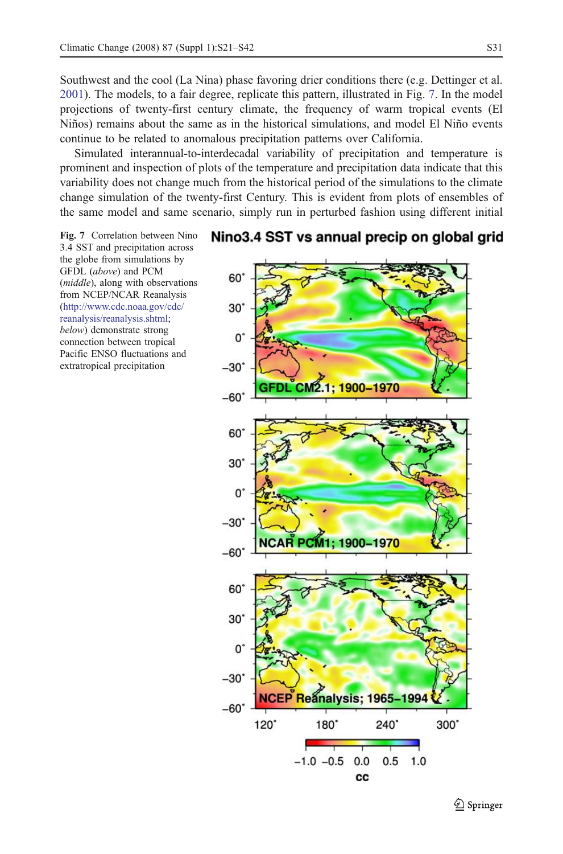Southwest and the cool (La Nina) phase favoring drier conditions there (e.g. Dettinger et al. [2001\)](#page-20-0). The models, to a fair degree, replicate this pattern, illustrated in Fig. 7. In the model projections of twenty-first century climate, the frequency of warm tropical events (El Niños) remains about the same as in the historical simulations, and model El Niño events continue to be related to anomalous precipitation patterns over California.

Simulated interannual-to-interdecadal variability of precipitation and temperature is prominent and inspection of plots of the temperature and precipitation data indicate that this variability does not change much from the historical period of the simulations to the climate change simulation of the twenty-first Century. This is evident from plots of ensembles of the same model and same scenario, simply run in perturbed fashion using different initial

Fig. 7 Correlation between Nino 3.4 SST and precipitation across the globe from simulations by GFDL (above) and PCM (middle), along with observations from NCEP/NCAR Reanalysis [\(http://www.cdc.noaa.gov/cdc/](http://www.cdc.noaa.gov/cdc/reanalysis/reanalysis.shtml) [reanalysis/reanalysis.shtml](http://www.cdc.noaa.gov/cdc/reanalysis/reanalysis.shtml); below) demonstrate strong connection between tropical Pacific ENSO fluctuations and extratropical precipitation

# Nino3.4 SST vs annual precip on global grid

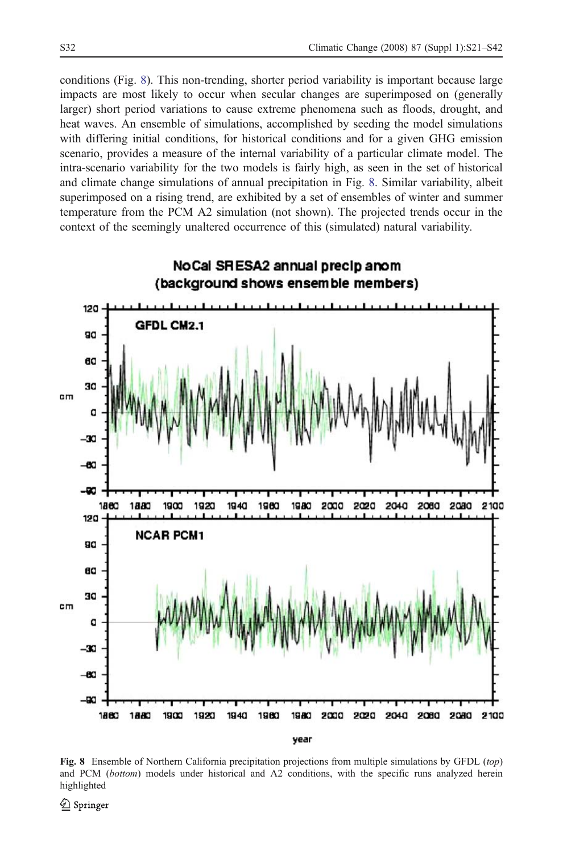conditions (Fig. 8). This non-trending, shorter period variability is important because large impacts are most likely to occur when secular changes are superimposed on (generally larger) short period variations to cause extreme phenomena such as floods, drought, and heat waves. An ensemble of simulations, accomplished by seeding the model simulations with differing initial conditions, for historical conditions and for a given GHG emission scenario, provides a measure of the internal variability of a particular climate model. The intra-scenario variability for the two models is fairly high, as seen in the set of historical and climate change simulations of annual precipitation in Fig. 8. Similar variability, albeit superimposed on a rising trend, are exhibited by a set of ensembles of winter and summer temperature from the PCM A2 simulation (not shown). The projected trends occur in the context of the seemingly unaltered occurrence of this (simulated) natural variability.



Fig. 8 Ensemble of Northern California precipitation projections from multiple simulations by GFDL (top) and PCM (bottom) models under historical and A2 conditions, with the specific runs analyzed herein highlighted

 $\mathcal{Q}$  Springer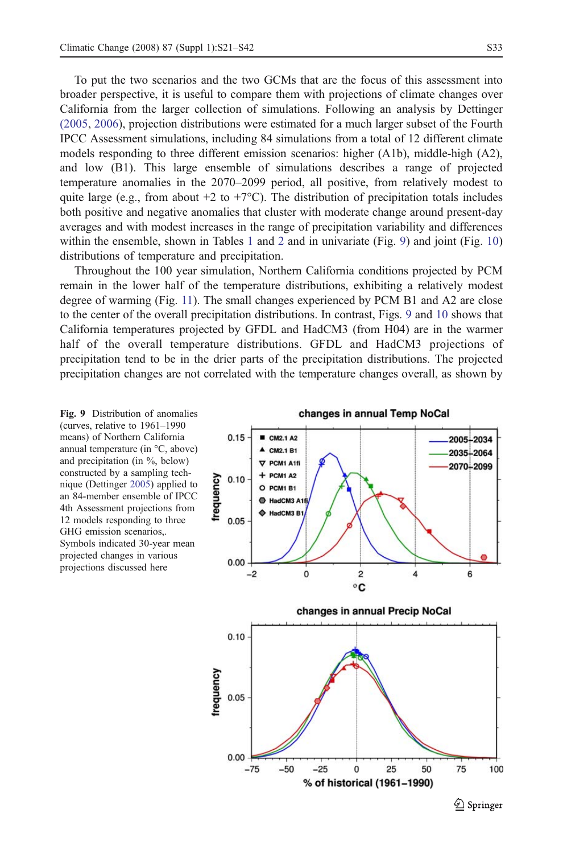<span id="page-12-0"></span>To put the two scenarios and the two GCMs that are the focus of this assessment into broader perspective, it is useful to compare them with projections of climate changes over California from the larger collection of simulations. Following an analysis by Dettinger [\(2005,](#page-20-0) [2006\)](#page-20-0), projection distributions were estimated for a much larger subset of the Fourth IPCC Assessment simulations, including 84 simulations from a total of 12 different climate models responding to three different emission scenarios: higher (A1b), middle-high (A2), and low (B1). This large ensemble of simulations describes a range of projected temperature anomalies in the 2070–2099 period, all positive, from relatively modest to quite large (e.g., from about  $+2$  to  $+7^{\circ}$ C). The distribution of precipitation totals includes both positive and negative anomalies that cluster with moderate change around present-day averages and with modest increases in the range of precipitation variability and differences within the ensemble, shown in Tables [1](#page-4-0) and [2](#page-5-0) and in univariate (Fig. 9) and joint (Fig. [10\)](#page-13-0) distributions of temperature and precipitation.

Throughout the 100 year simulation, Northern California conditions projected by PCM remain in the lower half of the temperature distributions, exhibiting a relatively modest degree of warming (Fig. [11\)](#page-13-0). The small changes experienced by PCM B1 and A2 are close to the center of the overall precipitation distributions. In contrast, Figs. 9 and [10](#page-13-0) shows that California temperatures projected by GFDL and HadCM3 (from H04) are in the warmer half of the overall temperature distributions. GFDL and HadCM3 projections of precipitation tend to be in the drier parts of the precipitation distributions. The projected precipitation changes are not correlated with the temperature changes overall, as shown by



changes in annual Temp NoCal

 $\mathcal{Q}$  Springer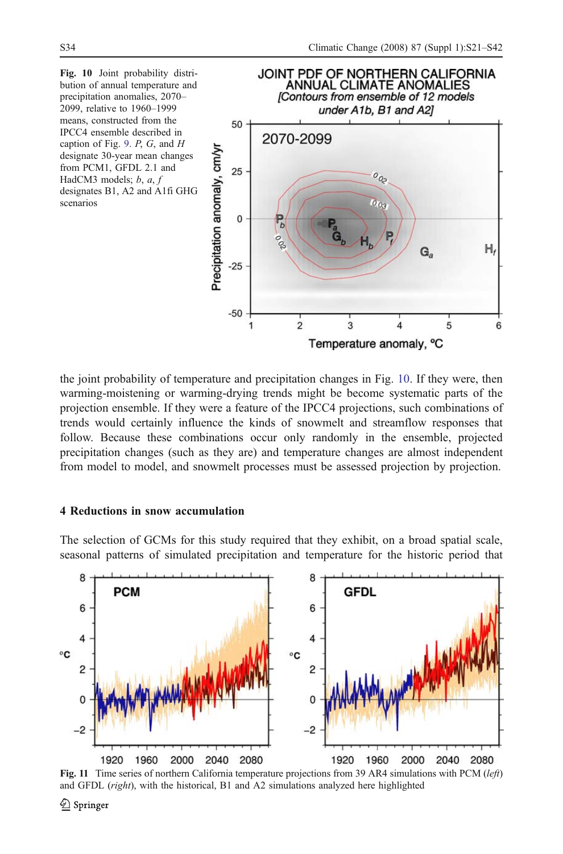<span id="page-13-0"></span>

the joint probability of temperature and precipitation changes in Fig. 10. If they were, then warming-moistening or warming-drying trends might be become systematic parts of the projection ensemble. If they were a feature of the IPCC4 projections, such combinations of trends would certainly influence the kinds of snowmelt and streamflow responses that follow. Because these combinations occur only randomly in the ensemble, projected precipitation changes (such as they are) and temperature changes are almost independent from model to model, and snowmelt processes must be assessed projection by projection.

#### 4 Reductions in snow accumulation

The selection of GCMs for this study required that they exhibit, on a broad spatial scale, seasonal patterns of simulated precipitation and temperature for the historic period that



Fig. 11 Time series of northern California temperature projections from 39 AR4 simulations with PCM (left) and GFDL (right), with the historical, B1 and A2 simulations analyzed here highlighted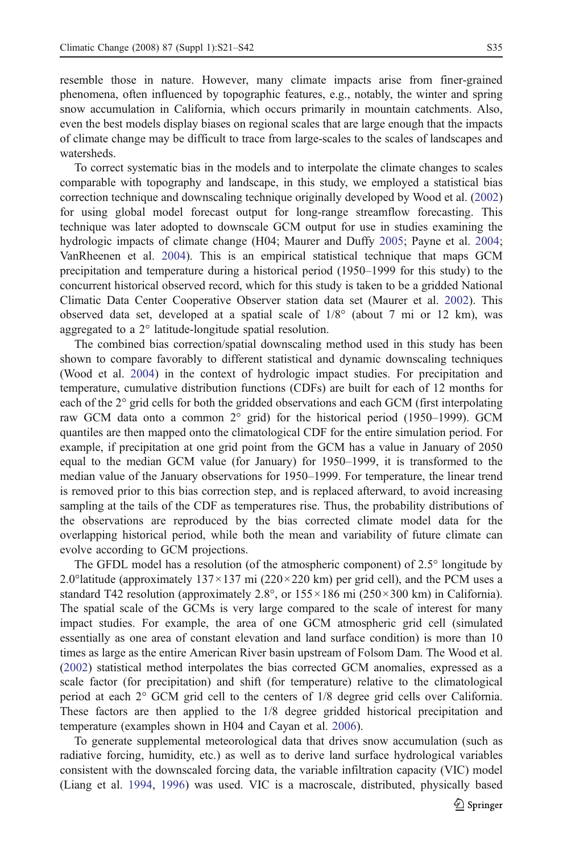resemble those in nature. However, many climate impacts arise from finer-grained phenomena, often influenced by topographic features, e.g., notably, the winter and spring snow accumulation in California, which occurs primarily in mountain catchments. Also, even the best models display biases on regional scales that are large enough that the impacts of climate change may be difficult to trace from large-scales to the scales of landscapes and watersheds.

To correct systematic bias in the models and to interpolate the climate changes to scales comparable with topography and landscape, in this study, we employed a statistical bias correction technique and downscaling technique originally developed by Wood et al. ([2002\)](#page-21-0) for using global model forecast output for long-range streamflow forecasting. This technique was later adopted to downscale GCM output for use in studies examining the hydrologic impacts of climate change (H04; Maurer and Duffy [2005](#page-21-0); Payne et al. [2004](#page-21-0); VanRheenen et al. [2004](#page-21-0)). This is an empirical statistical technique that maps GCM precipitation and temperature during a historical period (1950–1999 for this study) to the concurrent historical observed record, which for this study is taken to be a gridded National Climatic Data Center Cooperative Observer station data set (Maurer et al. [2002](#page-21-0)). This observed data set, developed at a spatial scale of 1/8° (about 7 mi or 12 km), was aggregated to a 2° latitude-longitude spatial resolution.

The combined bias correction/spatial downscaling method used in this study has been shown to compare favorably to different statistical and dynamic downscaling techniques (Wood et al. [2004\)](#page-21-0) in the context of hydrologic impact studies. For precipitation and temperature, cumulative distribution functions (CDFs) are built for each of 12 months for each of the 2° grid cells for both the gridded observations and each GCM (first interpolating raw GCM data onto a common 2° grid) for the historical period (1950–1999). GCM quantiles are then mapped onto the climatological CDF for the entire simulation period. For example, if precipitation at one grid point from the GCM has a value in January of 2050 equal to the median GCM value (for January) for 1950–1999, it is transformed to the median value of the January observations for 1950–1999. For temperature, the linear trend is removed prior to this bias correction step, and is replaced afterward, to avoid increasing sampling at the tails of the CDF as temperatures rise. Thus, the probability distributions of the observations are reproduced by the bias corrected climate model data for the overlapping historical period, while both the mean and variability of future climate can evolve according to GCM projections.

The GFDL model has a resolution (of the atmospheric component) of 2.5° longitude by 2.0° latitude (approximately  $137 \times 137$  mi ( $220 \times 220$  km) per grid cell), and the PCM uses a standard T42 resolution (approximately  $2.8^{\circ}$ , or  $155 \times 186$  mi ( $250 \times 300$  km) in California). The spatial scale of the GCMs is very large compared to the scale of interest for many impact studies. For example, the area of one GCM atmospheric grid cell (simulated essentially as one area of constant elevation and land surface condition) is more than 10 times as large as the entire American River basin upstream of Folsom Dam. The Wood et al. ([2002\)](#page-21-0) statistical method interpolates the bias corrected GCM anomalies, expressed as a scale factor (for precipitation) and shift (for temperature) relative to the climatological period at each 2° GCM grid cell to the centers of 1/8 degree grid cells over California. These factors are then applied to the 1/8 degree gridded historical precipitation and temperature (examples shown in H04 and Cayan et al. [2006](#page-20-0)).

To generate supplemental meteorological data that drives snow accumulation (such as radiative forcing, humidity, etc.) as well as to derive land surface hydrological variables consistent with the downscaled forcing data, the variable infiltration capacity (VIC) model (Liang et al. [1994](#page-20-0), [1996](#page-20-0)) was used. VIC is a macroscale, distributed, physically based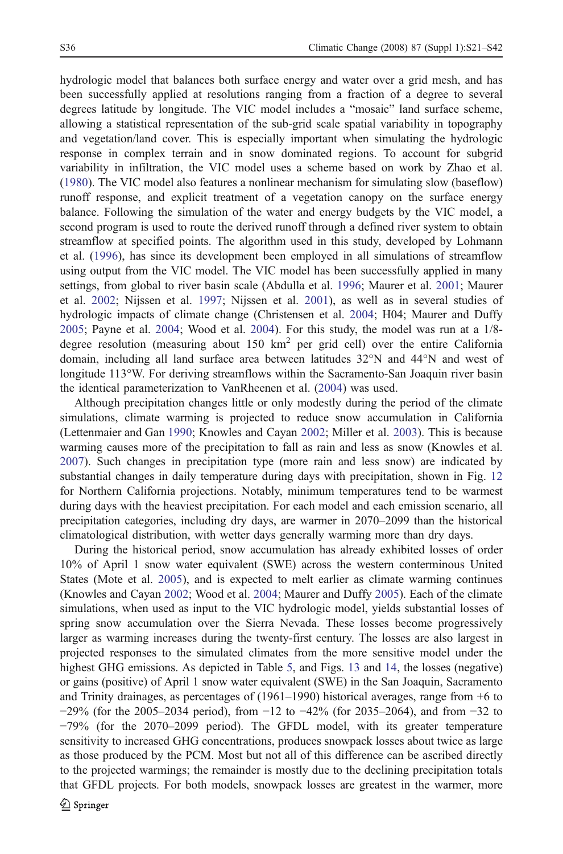hydrologic model that balances both surface energy and water over a grid mesh, and has been successfully applied at resolutions ranging from a fraction of a degree to several degrees latitude by longitude. The VIC model includes a "mosaic" land surface scheme, allowing a statistical representation of the sub-grid scale spatial variability in topography and vegetation/land cover. This is especially important when simulating the hydrologic response in complex terrain and in snow dominated regions. To account for subgrid variability in infiltration, the VIC model uses a scheme based on work by Zhao et al. ([1980\)](#page-21-0). The VIC model also features a nonlinear mechanism for simulating slow (baseflow) runoff response, and explicit treatment of a vegetation canopy on the surface energy balance. Following the simulation of the water and energy budgets by the VIC model, a second program is used to route the derived runoff through a defined river system to obtain streamflow at specified points. The algorithm used in this study, developed by Lohmann et al. [\(1996](#page-21-0)), has since its development been employed in all simulations of streamflow using output from the VIC model. The VIC model has been successfully applied in many settings, from global to river basin scale (Abdulla et al. [1996](#page-19-0); Maurer et al. [2001](#page-21-0); Maurer et al. [2002](#page-21-0); Nijssen et al. [1997;](#page-21-0) Nijssen et al. [2001\)](#page-21-0), as well as in several studies of hydrologic impacts of climate change (Christensen et al. [2004](#page-20-0); H04; Maurer and Duffy [2005;](#page-21-0) Payne et al. [2004](#page-21-0); Wood et al. [2004](#page-21-0)). For this study, the model was run at a 1/8 degree resolution (measuring about 150  $km^2$  per grid cell) over the entire California domain, including all land surface area between latitudes 32°N and 44°N and west of longitude 113°W. For deriving streamflows within the Sacramento-San Joaquin river basin the identical parameterization to VanRheenen et al. ([2004](#page-21-0)) was used.

Although precipitation changes little or only modestly during the period of the climate simulations, climate warming is projected to reduce snow accumulation in California (Lettenmaier and Gan [1990;](#page-20-0) Knowles and Cayan [2002](#page-20-0); Miller et al. [2003](#page-21-0)). This is because warming causes more of the precipitation to fall as rain and less as snow (Knowles et al. [2007\)](#page-20-0). Such changes in precipitation type (more rain and less snow) are indicated by substantial changes in daily temperature during days with precipitation, shown in Fig. [12](#page-16-0) for Northern California projections. Notably, minimum temperatures tend to be warmest during days with the heaviest precipitation. For each model and each emission scenario, all precipitation categories, including dry days, are warmer in 2070–2099 than the historical climatological distribution, with wetter days generally warming more than dry days.

During the historical period, snow accumulation has already exhibited losses of order 10% of April 1 snow water equivalent (SWE) across the western conterminous United States (Mote et al. [2005](#page-21-0)), and is expected to melt earlier as climate warming continues (Knowles and Cayan [2002](#page-20-0); Wood et al. [2004;](#page-21-0) Maurer and Duffy [2005\)](#page-21-0). Each of the climate simulations, when used as input to the VIC hydrologic model, yields substantial losses of spring snow accumulation over the Sierra Nevada. These losses become progressively larger as warming increases during the twenty-first century. The losses are also largest in projected responses to the simulated climates from the more sensitive model under the highest GHG emissions. As depicted in Table [5,](#page-16-0) and Figs. [13](#page-17-0) and [14,](#page-18-0) the losses (negative) or gains (positive) of April 1 snow water equivalent (SWE) in the San Joaquin, Sacramento and Trinity drainages, as percentages of (1961–1990) historical averages, range from +6 to −29% (for the 2005–2034 period), from −12 to −42% (for 2035–2064), and from −32 to −79% (for the 2070–2099 period). The GFDL model, with its greater temperature sensitivity to increased GHG concentrations, produces snowpack losses about twice as large as those produced by the PCM. Most but not all of this difference can be ascribed directly to the projected warmings; the remainder is mostly due to the declining precipitation totals that GFDL projects. For both models, snowpack losses are greatest in the warmer, more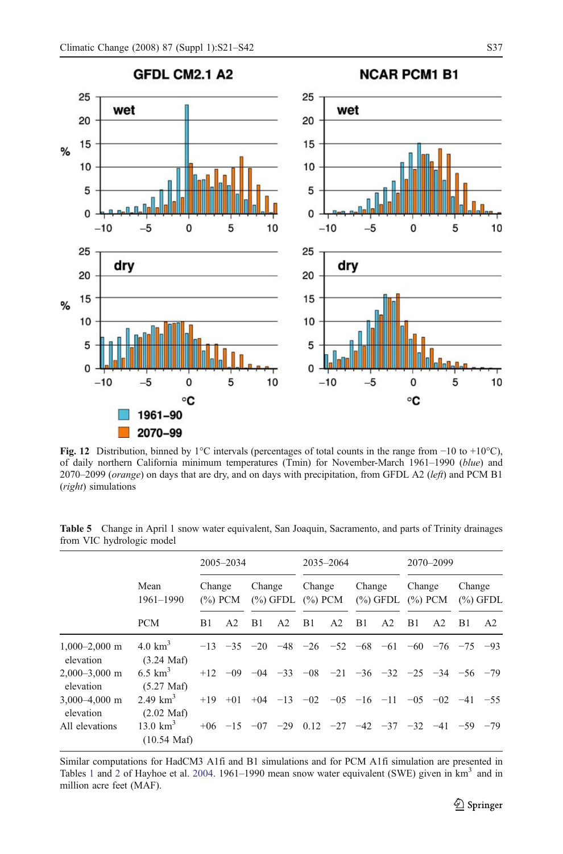<span id="page-16-0"></span>

Fig. 12 Distribution, binned by 1°C intervals (percentages of total counts in the range from −10 to +10°C), of daily northern California minimum temperatures (Tmin) for November-March 1961–1990 (blue) and 2070–2099 (orange) on days that are dry, and on days with precipitation, from GFDL A2 (left) and PCM B1 (right) simulations

Table 5 Change in April 1 snow water equivalent, San Joaquin, Sacramento, and parts of Trinity drainages from VIC hydrologic model

|                                |                                            | 2005-2034            |       |                       | 2035-2064      |                      |                |                       | 2070-2099                                                               |                      |                |                            |                |
|--------------------------------|--------------------------------------------|----------------------|-------|-----------------------|----------------|----------------------|----------------|-----------------------|-------------------------------------------------------------------------|----------------------|----------------|----------------------------|----------------|
|                                | Mean<br>1961-1990<br><b>PCM</b>            | Change<br>$(\%)$ PCM |       | Change<br>$(\%)$ GFDL |                | Change<br>$(\%)$ PCM |                | Change<br>$(\%)$ GFDL |                                                                         | Change<br>$(\%)$ PCM |                | Change<br>$(\%)$ GFDL      |                |
|                                |                                            | B1                   | A2    | B1                    | A <sub>2</sub> | B1                   | A <sub>2</sub> | B1                    | A <sub>2</sub>                                                          | B1                   | A <sub>2</sub> | B1                         | A <sub>2</sub> |
| $1.000 - 2.000$ m<br>elevation | $4.0 \text{ km}^3$<br>$(3.24 \text{ Maf})$ |                      |       |                       |                |                      |                |                       | $-13$ $-35$ $-20$ $-48$ $-26$ $-52$ $-68$ $-61$ $-60$ $-76$ $-75$ $-93$ |                      |                |                            |                |
| $2.000 - 3.000$ m<br>elevation | 6.5 $km^3$<br>$(5.27 \text{ Maf})$         |                      |       |                       |                |                      |                |                       | $+12$ $-09$ $-04$ $-33$ $-08$ $-21$ $-36$ $-32$ $-25$ $-34$ $-56$ $-79$ |                      |                |                            |                |
| $3.000 - 4.000$ m<br>elevation | 2.49 $km^3$<br>$(2.02 \text{ Maf})$        | $+19$                | $+01$ |                       |                |                      |                |                       | $+04$ $-13$ $-02$ $-05$ $-16$ $-11$                                     |                      |                | $-0.5$ $-0.2$ $-41$ $-5.5$ |                |
| All elevations                 | 13.0 $km^3$<br>$(10.54 \text{ Maf})$       |                      |       |                       |                |                      |                |                       | $+06$ -15 -07 -29 0.12 -27 -42 -37 -32 -41 -59 -79                      |                      |                |                            |                |

Similar computations for HadCM3 A1fi and B1 simulations and for PCM A1fi simulation are presented in Tables [1](#page-4-0) and [2](#page-5-0) of Hayhoe et al. [2004](#page-20-0). 1961–1990 mean snow water equivalent (SWE) given in km<sup>3</sup> and in million acre feet (MAF).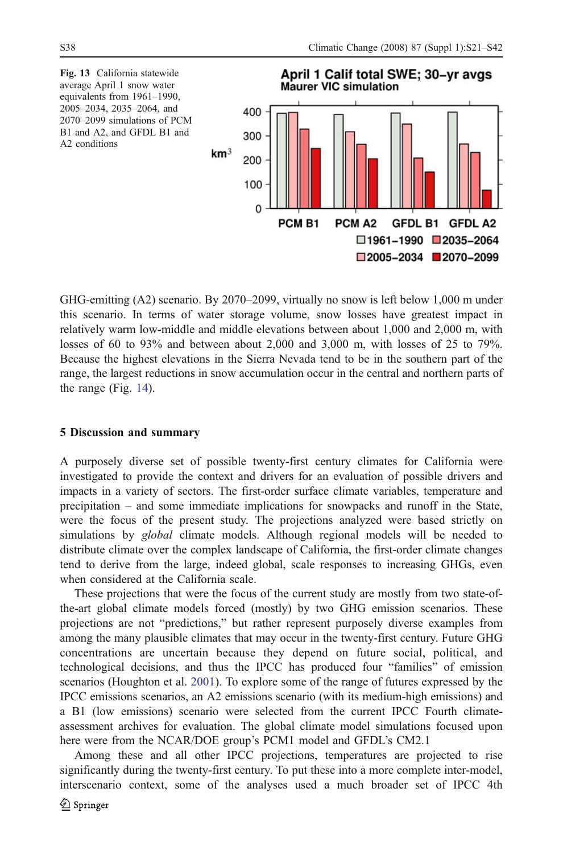<span id="page-17-0"></span>

GHG-emitting (A2) scenario. By 2070–2099, virtually no snow is left below 1,000 m under this scenario. In terms of water storage volume, snow losses have greatest impact in relatively warm low-middle and middle elevations between about 1,000 and 2,000 m, with losses of 60 to 93% and between about 2,000 and 3,000 m, with losses of 25 to 79%. Because the highest elevations in the Sierra Nevada tend to be in the southern part of the range, the largest reductions in snow accumulation occur in the central and northern parts of the range (Fig. [14\)](#page-18-0).

#### 5 Discussion and summary

A purposely diverse set of possible twenty-first century climates for California were investigated to provide the context and drivers for an evaluation of possible drivers and impacts in a variety of sectors. The first-order surface climate variables, temperature and precipitation – and some immediate implications for snowpacks and runoff in the State, were the focus of the present study. The projections analyzed were based strictly on simulations by global climate models. Although regional models will be needed to distribute climate over the complex landscape of California, the first-order climate changes tend to derive from the large, indeed global, scale responses to increasing GHGs, even when considered at the California scale.

These projections that were the focus of the current study are mostly from two state-ofthe-art global climate models forced (mostly) by two GHG emission scenarios. These projections are not "predictions," but rather represent purposely diverse examples from among the many plausible climates that may occur in the twenty-first century. Future GHG concentrations are uncertain because they depend on future social, political, and technological decisions, and thus the IPCC has produced four "families" of emission scenarios (Houghton et al. [2001\)](#page-20-0). To explore some of the range of futures expressed by the IPCC emissions scenarios, an A2 emissions scenario (with its medium-high emissions) and a B1 (low emissions) scenario were selected from the current IPCC Fourth climateassessment archives for evaluation. The global climate model simulations focused upon here were from the NCAR/DOE group's PCM1 model and GFDL's CM2.1

Among these and all other IPCC projections, temperatures are projected to rise significantly during the twenty-first century. To put these into a more complete inter-model, interscenario context, some of the analyses used a much broader set of IPCC 4th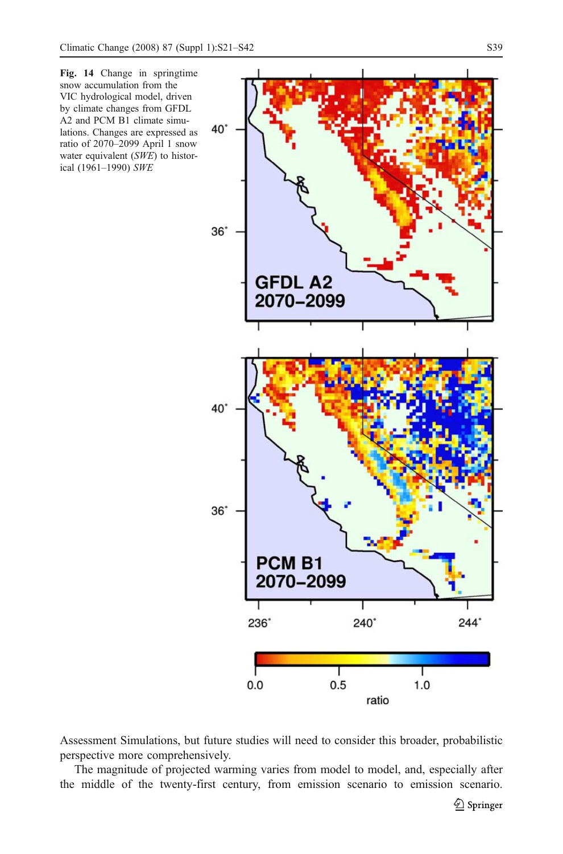<span id="page-18-0"></span>

Assessment Simulations, but future studies will need to consider this broader, probabilistic perspective more comprehensively.

The magnitude of projected warming varies from model to model, and, especially after the middle of the twenty-first century, from emission scenario to emission scenario.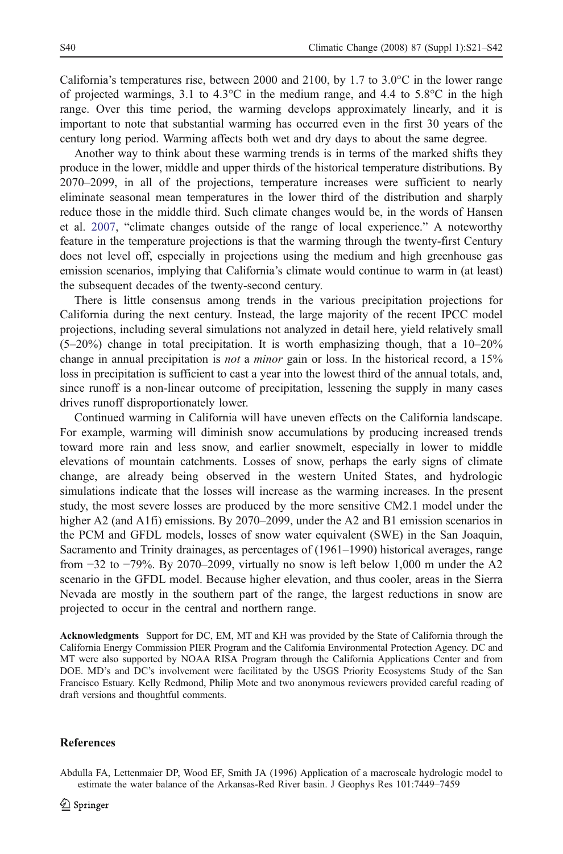<span id="page-19-0"></span>California's temperatures rise, between 2000 and 2100, by 1.7 to  $3.0^{\circ}$ C in the lower range of projected warmings, 3.1 to  $4.3^{\circ}$ C in the medium range, and  $4.4$  to  $5.8^{\circ}$ C in the high range. Over this time period, the warming develops approximately linearly, and it is important to note that substantial warming has occurred even in the first 30 years of the century long period. Warming affects both wet and dry days to about the same degree.

Another way to think about these warming trends is in terms of the marked shifts they produce in the lower, middle and upper thirds of the historical temperature distributions. By 2070–2099, in all of the projections, temperature increases were sufficient to nearly eliminate seasonal mean temperatures in the lower third of the distribution and sharply reduce those in the middle third. Such climate changes would be, in the words of Hansen et al. [2007](#page-20-0), "climate changes outside of the range of local experience." A noteworthy feature in the temperature projections is that the warming through the twenty-first Century does not level off, especially in projections using the medium and high greenhouse gas emission scenarios, implying that California's climate would continue to warm in (at least) the subsequent decades of the twenty-second century.

There is little consensus among trends in the various precipitation projections for California during the next century. Instead, the large majority of the recent IPCC model projections, including several simulations not analyzed in detail here, yield relatively small  $(5-20%)$  change in total precipitation. It is worth emphasizing though, that a  $10-20%$ change in annual precipitation is not a minor gain or loss. In the historical record, a 15% loss in precipitation is sufficient to cast a year into the lowest third of the annual totals, and, since runoff is a non-linear outcome of precipitation, lessening the supply in many cases drives runoff disproportionately lower.

Continued warming in California will have uneven effects on the California landscape. For example, warming will diminish snow accumulations by producing increased trends toward more rain and less snow, and earlier snowmelt, especially in lower to middle elevations of mountain catchments. Losses of snow, perhaps the early signs of climate change, are already being observed in the western United States, and hydrologic simulations indicate that the losses will increase as the warming increases. In the present study, the most severe losses are produced by the more sensitive CM2.1 model under the higher A2 (and A1fi) emissions. By 2070–2099, under the A2 and B1 emission scenarios in the PCM and GFDL models, losses of snow water equivalent (SWE) in the San Joaquin, Sacramento and Trinity drainages, as percentages of (1961–1990) historical averages, range from −32 to −79%. By 2070–2099, virtually no snow is left below 1,000 m under the A2 scenario in the GFDL model. Because higher elevation, and thus cooler, areas in the Sierra Nevada are mostly in the southern part of the range, the largest reductions in snow are projected to occur in the central and northern range.

Acknowledgments Support for DC, EM, MT and KH was provided by the State of California through the California Energy Commission PIER Program and the California Environmental Protection Agency. DC and MT were also supported by NOAA RISA Program through the California Applications Center and from DOE. MD's and DC's involvement were facilitated by the USGS Priority Ecosystems Study of the San Francisco Estuary. Kelly Redmond, Philip Mote and two anonymous reviewers provided careful reading of draft versions and thoughtful comments.

#### References

Abdulla FA, Lettenmaier DP, Wood EF, Smith JA (1996) Application of a macroscale hydrologic model to estimate the water balance of the Arkansas-Red River basin. J Geophys Res 101:7449–7459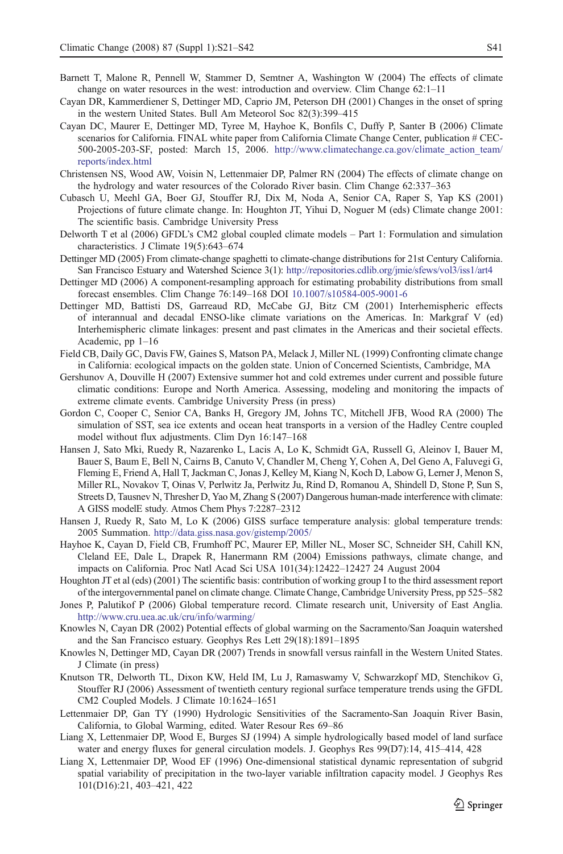- <span id="page-20-0"></span>Barnett T, Malone R, Pennell W, Stammer D, Semtner A, Washington W (2004) The effects of climate change on water resources in the west: introduction and overview. Clim Change 62:1–11
- Cayan DR, Kammerdiener S, Dettinger MD, Caprio JM, Peterson DH (2001) Changes in the onset of spring in the western United States. Bull Am Meteorol Soc 82(3):399–415
- Cayan DC, Maurer E, Dettinger MD, Tyree M, Hayhoe K, Bonfils C, Duffy P, Santer B (2006) Climate scenarios for California. FINAL white paper from California Climate Change Center, publication # CEC-500-2005-203-SF, posted: March 15, 2006. [http://www.climatechange.ca.gov/climate\\_action\\_team/](http://www.climatechange.ca.gov/climate_action_team/reports/index.html) [reports/index.html](http://www.climatechange.ca.gov/climate_action_team/reports/index.html)
- Christensen NS, Wood AW, Voisin N, Lettenmaier DP, Palmer RN (2004) The effects of climate change on the hydrology and water resources of the Colorado River basin. Clim Change 62:337–363
- Cubasch U, Meehl GA, Boer GJ, Stouffer RJ, Dix M, Noda A, Senior CA, Raper S, Yap KS (2001) Projections of future climate change. In: Houghton JT, Yihui D, Noguer M (eds) Climate change 2001: The scientific basis. Cambridge University Press
- Delworth T et al (2006) GFDL's CM2 global coupled climate models Part 1: Formulation and simulation characteristics. J Climate 19(5):643–674
- Dettinger MD (2005) From climate-change spaghetti to climate-change distributions for 21st Century California. San Francisco Estuary and Watershed Science 3(1): <http://repositories.cdlib.org/jmie/sfews/vol3/iss1/art4>
- Dettinger MD (2006) A component-resampling approach for estimating probability distributions from small forecast ensembles. Clim Change 76:149–168 DOI [10.1007/s10584-005-9001-6](http://dx.doi.org/10.1007/s10584-005-9001-6)
- Dettinger MD, Battisti DS, Garreaud RD, McCabe GJ, Bitz CM (2001) Interhemispheric effects of interannual and decadal ENSO-like climate variations on the Americas. In: Markgraf V (ed) Interhemispheric climate linkages: present and past climates in the Americas and their societal effects. Academic, pp 1–16
- Field CB, Daily GC, Davis FW, Gaines S, Matson PA, Melack J, Miller NL (1999) Confronting climate change in California: ecological impacts on the golden state. Union of Concerned Scientists, Cambridge, MA
- Gershunov A, Douville H (2007) Extensive summer hot and cold extremes under current and possible future climatic conditions: Europe and North America. Assessing, modeling and monitoring the impacts of extreme climate events. Cambridge University Press (in press)
- Gordon C, Cooper C, Senior CA, Banks H, Gregory JM, Johns TC, Mitchell JFB, Wood RA (2000) The simulation of SST, sea ice extents and ocean heat transports in a version of the Hadley Centre coupled model without flux adjustments. Clim Dyn 16:147–168
- Hansen J, Sato Mki, Ruedy R, Nazarenko L, Lacis A, Lo K, Schmidt GA, Russell G, Aleinov I, Bauer M, Bauer S, Baum E, Bell N, Cairns B, Canuto V, Chandler M, Cheng Y, Cohen A, Del Geno A, Faluvegi G, Fleming E, Friend A, Hall T, Jackman C, Jonas J, Kelley M, Kiang N, Koch D, Labow G, Lerner J, Menon S, Miller RL, Novakov T, Oinas V, Perlwitz Ja, Perlwitz Ju, Rind D, Romanou A, Shindell D, Stone P, Sun S, Streets D, Tausnev N, Thresher D, Yao M, Zhang S (2007) Dangerous human-made interference with climate: A GISS modelE study. Atmos Chem Phys 7:2287–2312
- Hansen J, Ruedy R, Sato M, Lo K (2006) GISS surface temperature analysis: global temperature trends: 2005 Summation. <http://data.giss.nasa.gov/gistemp/2005/>
- Hayhoe K, Cayan D, Field CB, Frumhoff PC, Maurer EP, Miller NL, Moser SC, Schneider SH, Cahill KN, Cleland EE, Dale L, Drapek R, Hanermann RM (2004) Emissions pathways, climate change, and impacts on California. Proc Natl Acad Sci USA 101(34):12422–12427 24 August 2004
- Houghton JT et al (eds) (2001) The scientific basis: contribution of working group I to the third assessment report of the intergovernmental panel on climate change. Climate Change, Cambridge University Press, pp 525–582
- Jones P, Palutikof P (2006) Global temperature record. Climate research unit, University of East Anglia. <http://www.cru.uea.ac.uk/cru/info/warming/>
- Knowles N, Cayan DR (2002) Potential effects of global warming on the Sacramento/San Joaquin watershed and the San Francisco estuary. Geophys Res Lett 29(18):1891–1895
- Knowles N, Dettinger MD, Cayan DR (2007) Trends in snowfall versus rainfall in the Western United States. J Climate (in press)
- Knutson TR, Delworth TL, Dixon KW, Held IM, Lu J, Ramaswamy V, Schwarzkopf MD, Stenchikov G, Stouffer RJ (2006) Assessment of twentieth century regional surface temperature trends using the GFDL CM2 Coupled Models. J Climate 10:1624–1651
- Lettenmaier DP, Gan TY (1990) Hydrologic Sensitivities of the Sacramento-San Joaquin River Basin, California, to Global Warming, edited. Water Resour Res 69–86
- Liang X, Lettenmaier DP, Wood E, Burges SJ (1994) A simple hydrologically based model of land surface water and energy fluxes for general circulation models. J. Geophys Res 99(D7):14, 415–414, 428
- Liang X, Lettenmaier DP, Wood EF (1996) One-dimensional statistical dynamic representation of subgrid spatial variability of precipitation in the two-layer variable infiltration capacity model. J Geophys Res 101(D16):21, 403–421, 422